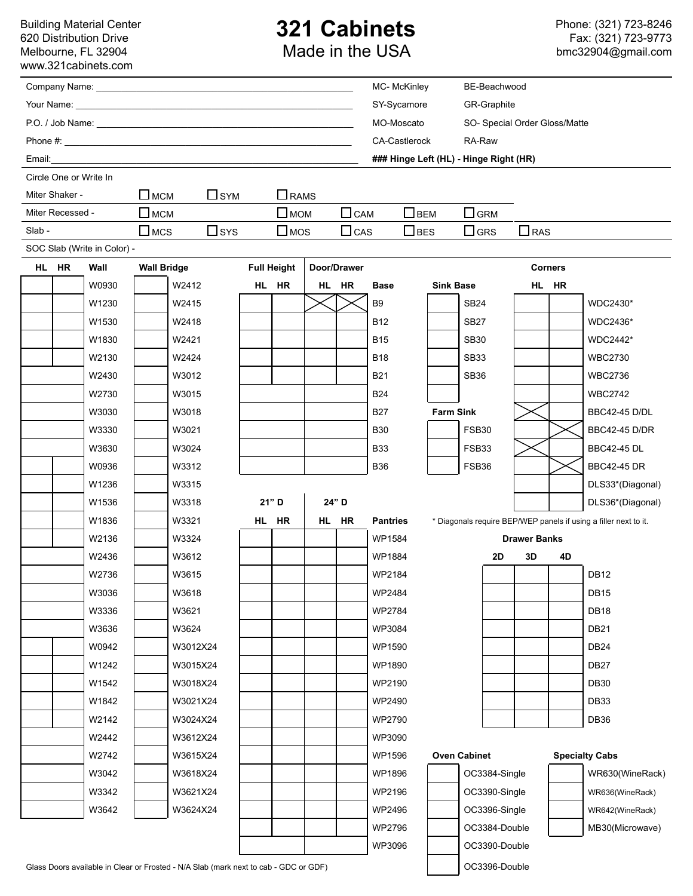Building Material Center 620 Distribution Drive Melbourne, FL 32904 [www.321cabinets.com](http://www.321cabinets.com/)

## **321 Cabinets** Made in the USA

|                                   |                        |                             |                                                                                      |            |                    |             |        |             | MC- McKinley                |                                        |                  | BE-Beachwood                  |            |                       |                                                                  |  |
|-----------------------------------|------------------------|-----------------------------|--------------------------------------------------------------------------------------|------------|--------------------|-------------|--------|-------------|-----------------------------|----------------------------------------|------------------|-------------------------------|------------|-----------------------|------------------------------------------------------------------|--|
|                                   |                        |                             |                                                                                      |            |                    |             |        |             | SY-Sycamore                 |                                        |                  | <b>GR-Graphite</b>            |            |                       |                                                                  |  |
|                                   |                        |                             |                                                                                      |            |                    |             |        |             | MO-Moscato                  |                                        |                  | SO- Special Order Gloss/Matte |            |                       |                                                                  |  |
|                                   |                        |                             |                                                                                      |            |                    |             |        |             |                             | <b>CA-Castlerock</b><br>RA-Raw         |                  |                               |            |                       |                                                                  |  |
|                                   |                        |                             |                                                                                      |            |                    |             |        |             |                             | ### Hinge Left (HL) - Hinge Right (HR) |                  |                               |            |                       |                                                                  |  |
|                                   | Circle One or Write In |                             |                                                                                      |            |                    |             |        |             |                             |                                        |                  |                               |            |                       |                                                                  |  |
|                                   | Miter Shaker -         |                             | $\Box$ MCM                                                                           | $\Box$ SYM |                    | $\Box$ RAMS |        |             |                             |                                        |                  |                               |            |                       |                                                                  |  |
| $\square$ MCM<br>Miter Recessed - |                        |                             |                                                                                      |            | $\square$ MOM      |             |        |             | $\Box$ CAM<br>$\square$ BEM |                                        |                  | $\Box$ GRM                    |            |                       |                                                                  |  |
| Slab-                             |                        |                             | $\square$ MCS                                                                        | $\Box$ sys | $\square$ MOS      |             |        | $\Box$ CAS  |                             | $\Box$ bes                             | $\Box$ GRS       |                               | $\Box$ RAS |                       |                                                                  |  |
|                                   |                        | SOC Slab (Write in Color) - |                                                                                      |            |                    |             |        |             |                             |                                        |                  |                               |            |                       |                                                                  |  |
|                                   | HL HR<br>Wall          |                             | <b>Wall Bridge</b>                                                                   |            | <b>Full Height</b> |             |        | Door/Drawer |                             |                                        |                  | <b>Corners</b>                |            |                       |                                                                  |  |
|                                   |                        | W0930                       | W2412                                                                                |            | HL HR              |             |        | HL HR       | <b>Base</b>                 |                                        | <b>Sink Base</b> |                               |            | HL HR                 |                                                                  |  |
|                                   |                        | W1230                       | W2415                                                                                |            |                    |             |        |             | <b>B</b> 9                  |                                        |                  | <b>SB24</b>                   |            |                       | WDC2430*                                                         |  |
|                                   |                        | W1530                       | W2418                                                                                |            |                    |             |        |             | <b>B12</b>                  |                                        |                  | <b>SB27</b>                   |            |                       | WDC2436*                                                         |  |
|                                   |                        | W1830                       | W2421                                                                                |            |                    |             |        |             | <b>B15</b>                  |                                        |                  | <b>SB30</b>                   |            |                       | WDC2442*                                                         |  |
|                                   |                        | W2130                       | W2424                                                                                |            |                    |             |        |             | <b>B18</b>                  |                                        |                  | <b>SB33</b>                   |            |                       | <b>WBC2730</b>                                                   |  |
|                                   |                        | W2430                       | W3012                                                                                |            |                    |             |        |             | <b>B21</b>                  |                                        |                  | <b>SB36</b>                   |            |                       | <b>WBC2736</b>                                                   |  |
|                                   |                        | W2730                       | W3015                                                                                |            |                    |             |        |             | <b>B24</b>                  |                                        |                  |                               |            |                       | <b>WBC2742</b>                                                   |  |
|                                   |                        | W3030                       | W3018                                                                                |            |                    |             |        |             | <b>B27</b>                  |                                        | <b>Farm Sink</b> |                               |            |                       | <b>BBC42-45 D/DL</b>                                             |  |
|                                   |                        | W3330                       | W3021                                                                                |            |                    |             |        |             | <b>B30</b>                  |                                        |                  | FSB30                         |            |                       | <b>BBC42-45 D/DR</b>                                             |  |
|                                   |                        | W3630                       | W3024                                                                                |            |                    |             |        |             | <b>B33</b>                  |                                        |                  | FSB33                         |            |                       | <b>BBC42-45 DL</b>                                               |  |
|                                   |                        | W0936                       | W3312                                                                                |            |                    |             |        |             | <b>B36</b>                  |                                        |                  | FSB36                         |            |                       | <b>BBC42-45 DR</b>                                               |  |
|                                   |                        | W1236                       | W3315                                                                                |            |                    |             |        |             |                             |                                        |                  |                               |            |                       | DLS33*(Diagonal)                                                 |  |
|                                   |                        | W1536                       | W3318                                                                                |            | 21" D              |             |        | 24" D       |                             |                                        |                  |                               |            |                       | DLS36*(Diagonal)                                                 |  |
|                                   |                        | W1836                       | W3321                                                                                |            | HL HR              |             |        | HL HR       | <b>Pantries</b>             |                                        |                  |                               |            |                       | * Diagonals require BEP/WEP panels if using a filler next to it. |  |
| W2136                             |                        | W3324                       |                                                                                      |            |                    |             | WP1584 |             |                             | <b>Drawer Banks</b>                    |                  |                               |            |                       |                                                                  |  |
|                                   |                        | W2436                       | W3612                                                                                |            |                    |             |        |             | WP1884                      |                                        |                  | 2D                            | 3D         | 4D                    |                                                                  |  |
|                                   |                        | W2736                       | W3615                                                                                |            |                    |             |        |             | WP2184                      |                                        |                  |                               |            |                       | <b>DB12</b>                                                      |  |
|                                   |                        | W3036                       | W3618                                                                                |            |                    |             |        |             | WP2484                      |                                        |                  |                               |            |                       | <b>DB15</b>                                                      |  |
|                                   |                        | W3336                       | W3621                                                                                |            |                    |             |        |             | WP2784                      |                                        |                  |                               |            |                       | <b>DB18</b>                                                      |  |
|                                   |                        | W3636                       | W3624                                                                                |            |                    |             |        |             | WP3084                      |                                        |                  |                               |            |                       | <b>DB21</b>                                                      |  |
|                                   |                        | W0942                       | W3012X24                                                                             |            |                    |             |        |             | WP1590                      |                                        |                  |                               |            |                       | <b>DB24</b>                                                      |  |
|                                   |                        | W1242                       | W3015X24                                                                             |            |                    |             |        |             | WP1890                      |                                        |                  |                               |            |                       | <b>DB27</b>                                                      |  |
|                                   |                        | W1542                       | W3018X24                                                                             |            |                    |             |        |             | WP2190                      |                                        |                  |                               |            |                       | <b>DB30</b>                                                      |  |
|                                   |                        | W1842                       | W3021X24                                                                             |            |                    |             |        |             | WP2490                      |                                        |                  |                               |            |                       | DB33                                                             |  |
|                                   |                        | W2142                       | W3024X24                                                                             |            |                    |             |        |             | <b>WP2790</b>               |                                        |                  |                               |            |                       | DB36                                                             |  |
|                                   |                        | W2442                       | W3612X24                                                                             |            |                    |             |        |             | WP3090                      |                                        |                  |                               |            |                       |                                                                  |  |
|                                   |                        | W2742                       | W3615X24                                                                             |            |                    |             |        |             | WP1596                      |                                        |                  | <b>Oven Cabinet</b>           |            | <b>Specialty Cabs</b> |                                                                  |  |
|                                   |                        | W3042                       | W3618X24                                                                             |            |                    |             |        |             | WP1896                      |                                        |                  | OC3384-Single                 |            |                       | WR630(WineRack)                                                  |  |
|                                   |                        | W3342                       | W3621X24                                                                             |            |                    |             |        |             | WP2196                      |                                        | OC3390-Single    |                               |            |                       | WR636(WineRack)                                                  |  |
|                                   |                        | W3642                       | W3624X24                                                                             |            |                    |             |        |             | WP2496                      |                                        |                  | OC3396-Single                 |            |                       | WR642(WineRack)                                                  |  |
|                                   |                        |                             |                                                                                      |            |                    |             |        |             | WP2796                      |                                        |                  | OC3384-Double                 |            |                       | MB30(Microwave)                                                  |  |
|                                   |                        |                             |                                                                                      |            |                    |             |        |             | WP3096                      |                                        |                  | OC3390-Double                 |            |                       |                                                                  |  |
|                                   |                        |                             | Glass Doors available in Clear or Frosted - N/A Slab (mark next to cab - GDC or GDF) |            |                    |             |        |             |                             |                                        |                  | OC3396-Double                 |            |                       |                                                                  |  |